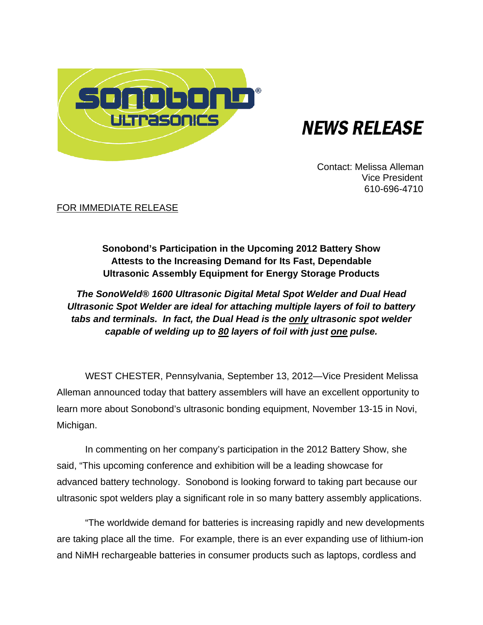

# **NEWS RELEASE**

 Contact: Melissa Alleman Vice President 610-696-4710

FOR IMMEDIATE RELEASE

# **Sonobond's Participation in the Upcoming 2012 Battery Show Attests to the Increasing Demand for Its Fast, Dependable Ultrasonic Assembly Equipment for Energy Storage Products**

*The SonoWeld® 1600 Ultrasonic Digital Metal Spot Welder and Dual Head Ultrasonic Spot Welder are ideal for attaching multiple layers of foil to battery tabs and terminals. In fact, the Dual Head is the only ultrasonic spot welder capable of welding up to 80 layers of foil with just one pulse.* 

WEST CHESTER, Pennsylvania, September 13, 2012—Vice President Melissa Alleman announced today that battery assemblers will have an excellent opportunity to learn more about Sonobond's ultrasonic bonding equipment, November 13-15 in Novi, Michigan.

In commenting on her company's participation in the 2012 Battery Show, she said, "This upcoming conference and exhibition will be a leading showcase for advanced battery technology. Sonobond is looking forward to taking part because our ultrasonic spot welders play a significant role in so many battery assembly applications.

"The worldwide demand for batteries is increasing rapidly and new developments are taking place all the time. For example, there is an ever expanding use of lithium-ion and NiMH rechargeable batteries in consumer products such as laptops, cordless and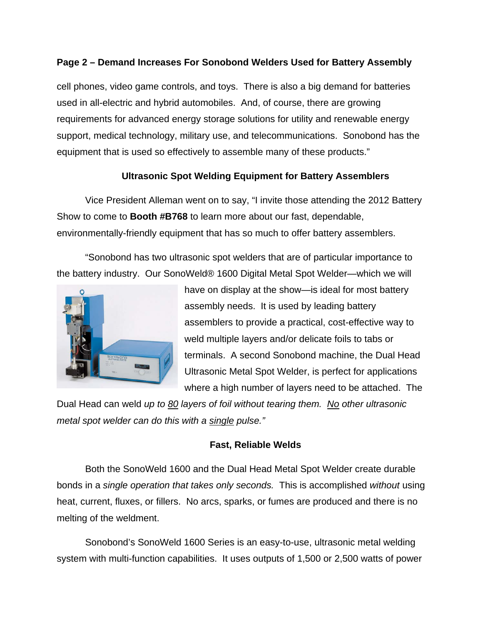## **Page 2 – Demand Increases For Sonobond Welders Used for Battery Assembly**

cell phones, video game controls, and toys. There is also a big demand for batteries used in all-electric and hybrid automobiles. And, of course, there are growing requirements for advanced energy storage solutions for utility and renewable energy support, medical technology, military use, and telecommunications. Sonobond has the equipment that is used so effectively to assemble many of these products."

# **Ultrasonic Spot Welding Equipment for Battery Assemblers**

Vice President Alleman went on to say, "I invite those attending the 2012 Battery Show to come to **Booth #B768** to learn more about our fast, dependable, environmentally-friendly equipment that has so much to offer battery assemblers.

"Sonobond has two ultrasonic spot welders that are of particular importance to the battery industry. Our SonoWeld® 1600 Digital Metal Spot Welder—which we will



have on display at the show—is ideal for most battery assembly needs. It is used by leading battery assemblers to provide a practical, cost-effective way to weld multiple layers and/or delicate foils to tabs or terminals. A second Sonobond machine, the Dual Head Ultrasonic Metal Spot Welder, is perfect for applications where a high number of layers need to be attached. The

Dual Head can weld *up to 80 layers of foil without tearing them. No other ultrasonic metal spot welder can do this with a single pulse."* 

#### **Fast, Reliable Welds**

Both the SonoWeld 1600 and the Dual Head Metal Spot Welder create durable bonds in a *single operation that takes only seconds.* This is accomplished *without* using heat, current, fluxes, or fillers. No arcs, sparks, or fumes are produced and there is no melting of the weldment.

Sonobond's SonoWeld 1600 Series is an easy-to-use, ultrasonic metal welding system with multi-function capabilities. It uses outputs of 1,500 or 2,500 watts of power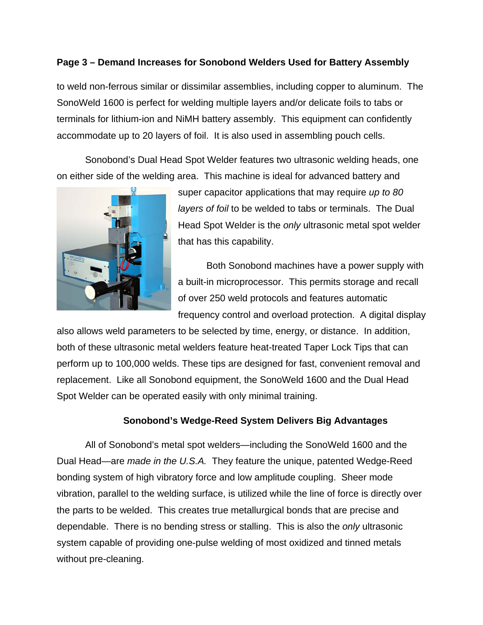### **Page 3 – Demand Increases for Sonobond Welders Used for Battery Assembly**

to weld non-ferrous similar or dissimilar assemblies, including copper to aluminum. The SonoWeld 1600 is perfect for welding multiple layers and/or delicate foils to tabs or terminals for lithium-ion and NiMH battery assembly. This equipment can confidently accommodate up to 20 layers of foil. It is also used in assembling pouch cells.

Sonobond's Dual Head Spot Welder features two ultrasonic welding heads, one on either side of the welding area. This machine is ideal for advanced battery and



super capacitor applications that may require *up to 80 layers of foil* to be welded to tabs or terminals. The Dual Head Spot Welder is the *only* ultrasonic metal spot welder that has this capability.

Both Sonobond machines have a power supply with a built-in microprocessor. This permits storage and recall of over 250 weld protocols and features automatic frequency control and overload protection. A digital display

also allows weld parameters to be selected by time, energy, or distance. In addition, both of these ultrasonic metal welders feature heat-treated Taper Lock Tips that can perform up to 100,000 welds. These tips are designed for fast, convenient removal and replacement. Like all Sonobond equipment, the SonoWeld 1600 and the Dual Head Spot Welder can be operated easily with only minimal training.

#### **Sonobond's Wedge-Reed System Delivers Big Advantages**

All of Sonobond's metal spot welders—including the SonoWeld 1600 and the Dual Head—are *made in the U.S.A.* They feature the unique, patented Wedge-Reed bonding system of high vibratory force and low amplitude coupling. Sheer mode vibration, parallel to the welding surface, is utilized while the line of force is directly over the parts to be welded. This creates true metallurgical bonds that are precise and dependable. There is no bending stress or stalling. This is also the *only* ultrasonic system capable of providing one-pulse welding of most oxidized and tinned metals without pre-cleaning.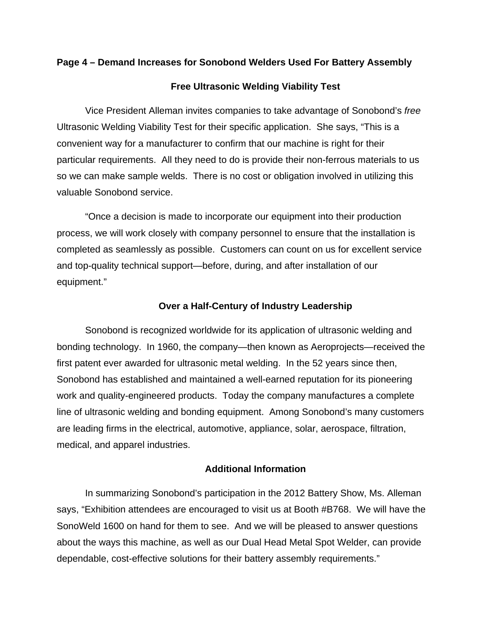#### **Page 4 – Demand Increases for Sonobond Welders Used For Battery Assembly**

#### **Free Ultrasonic Welding Viability Test**

Vice President Alleman invites companies to take advantage of Sonobond's *free*  Ultrasonic Welding Viability Test for their specific application. She says, "This is a convenient way for a manufacturer to confirm that our machine is right for their particular requirements. All they need to do is provide their non-ferrous materials to us so we can make sample welds. There is no cost or obligation involved in utilizing this valuable Sonobond service.

"Once a decision is made to incorporate our equipment into their production process, we will work closely with company personnel to ensure that the installation is completed as seamlessly as possible. Customers can count on us for excellent service and top-quality technical support—before, during, and after installation of our equipment."

#### **Over a Half-Century of Industry Leadership**

Sonobond is recognized worldwide for its application of ultrasonic welding and bonding technology. In 1960, the company—then known as Aeroprojects—received the first patent ever awarded for ultrasonic metal welding. In the 52 years since then, Sonobond has established and maintained a well-earned reputation for its pioneering work and quality-engineered products. Today the company manufactures a complete line of ultrasonic welding and bonding equipment. Among Sonobond's many customers are leading firms in the electrical, automotive, appliance, solar, aerospace, filtration, medical, and apparel industries.

#### **Additional Information**

In summarizing Sonobond's participation in the 2012 Battery Show, Ms. Alleman says, "Exhibition attendees are encouraged to visit us at Booth #B768. We will have the SonoWeld 1600 on hand for them to see. And we will be pleased to answer questions about the ways this machine, as well as our Dual Head Metal Spot Welder, can provide dependable, cost-effective solutions for their battery assembly requirements."